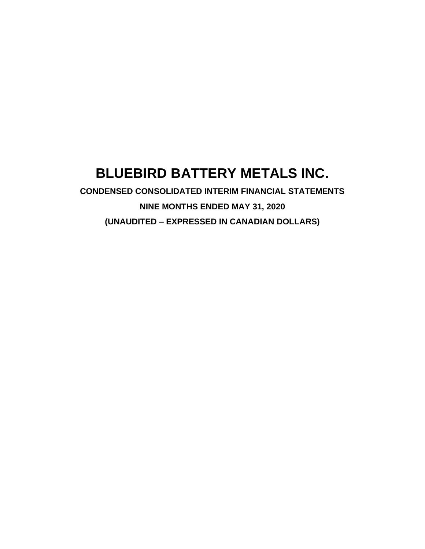# **BLUEBIRD BATTERY METALS INC.**

**CONDENSED CONSOLIDATED INTERIM FINANCIAL STATEMENTS NINE MONTHS ENDED MAY 31, 2020 (UNAUDITED – EXPRESSED IN CANADIAN DOLLARS)**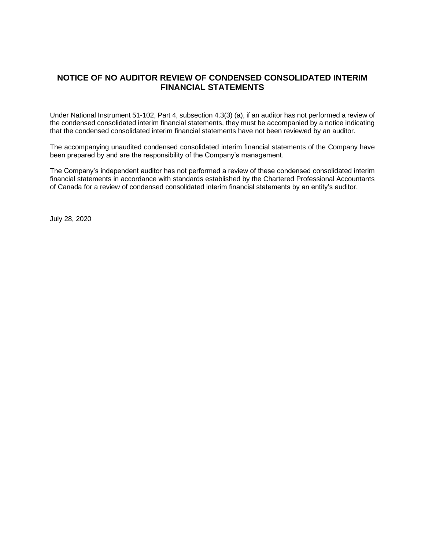## **NOTICE OF NO AUDITOR REVIEW OF CONDENSED CONSOLIDATED INTERIM FINANCIAL STATEMENTS**

Under National Instrument 51-102, Part 4, subsection 4.3(3) (a), if an auditor has not performed a review of the condensed consolidated interim financial statements, they must be accompanied by a notice indicating that the condensed consolidated interim financial statements have not been reviewed by an auditor.

The accompanying unaudited condensed consolidated interim financial statements of the Company have been prepared by and are the responsibility of the Company's management.

The Company's independent auditor has not performed a review of these condensed consolidated interim financial statements in accordance with standards established by the Chartered Professional Accountants of Canada for a review of condensed consolidated interim financial statements by an entity's auditor.

July 28, 2020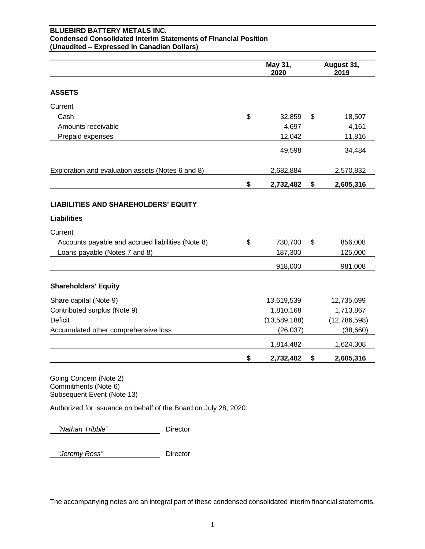## **BLUEBIRD BATTERY METALS INC. Condensed Consolidated Interim Statements of Financial Position (Unaudited – Expressed in Canadian Dollars)**

|                                                                   | May 31,<br>2020 | August 31,<br>2019 |
|-------------------------------------------------------------------|-----------------|--------------------|
| <b>ASSETS</b>                                                     |                 |                    |
| Current                                                           |                 |                    |
| Cash                                                              | \$<br>32,859    | \$<br>18,507       |
| Amounts receivable                                                | 4,697           | 4,161              |
| Prepaid expenses                                                  | 12,042          | 11,816             |
|                                                                   | 49,598          | 34,484             |
| Exploration and evaluation assets (Notes 6 and 8)                 | 2,682,884       | 2,570,832          |
|                                                                   | \$<br>2,732,482 | \$<br>2,605,316    |
| <b>LIABILITIES AND SHAREHOLDERS' EQUITY</b><br><b>Liabilities</b> |                 |                    |
|                                                                   |                 |                    |
| Current                                                           |                 |                    |
| Accounts payable and accrued liabilities (Note 8)                 | \$<br>730,700   | \$<br>856,008      |
| Loans payable (Notes 7 and 8)                                     | 187,300         | 125,000            |
|                                                                   | 918,000         | 981,008            |
| <b>Shareholders' Equity</b>                                       |                 |                    |
| Share capital (Note 9)                                            | 13,619,539      | 12,735,699         |
| Contributed surplus (Note 9)                                      | 1,810,168       | 1,713,867          |
| <b>Deficit</b>                                                    | (13,589,188)    | (12,786,598)       |
| Accumulated other comprehensive loss                              | (26, 037)       | (38, 660)          |
|                                                                   | 1,814,482       | 1,624,308          |
|                                                                   | \$<br>2,732,482 | \$<br>2,605,316    |

Going Concern (Note 2) Commitments (Note 6) Subsequent Event (Note 13)

Authorized for issuance on behalf of the Board on July 28, 2020:

 *"Nathan Tribble"* Director

 *"Jeremy Ross"* Director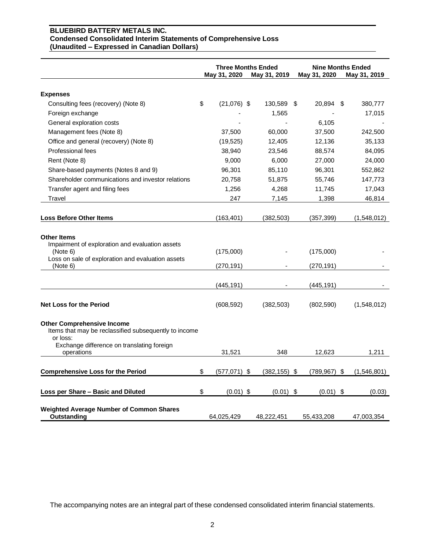#### **BLUEBIRD BATTERY METALS INC. Condensed Consolidated Interim Statements of Comprehensive Loss (Unaudited – Expressed in Canadian Dollars)**

|                                                                                                                                                      | <b>Three Months Ended</b><br>May 31, 2020<br>May 31, 2019 |  | May 31, 2020    | <b>Nine Months Ended</b><br>May 31, 2019 |                   |
|------------------------------------------------------------------------------------------------------------------------------------------------------|-----------------------------------------------------------|--|-----------------|------------------------------------------|-------------------|
| <b>Expenses</b>                                                                                                                                      |                                                           |  |                 |                                          |                   |
| Consulting fees (recovery) (Note 8)                                                                                                                  | \$<br>$(21,076)$ \$                                       |  | 130,589 \$      | 20,894 \$                                | 380,777           |
| Foreign exchange                                                                                                                                     |                                                           |  | 1,565           |                                          | 17,015            |
| General exploration costs                                                                                                                            |                                                           |  |                 | 6,105                                    |                   |
| Management fees (Note 8)                                                                                                                             | 37,500                                                    |  | 60,000          | 37,500                                   | 242,500           |
| Office and general (recovery) (Note 8)                                                                                                               | (19, 525)                                                 |  | 12,405          | 12,136                                   | 35,133            |
| Professional fees                                                                                                                                    | 38,940                                                    |  | 23,546          | 88,574                                   | 84,095            |
| Rent (Note 8)                                                                                                                                        | 9,000                                                     |  | 6,000           | 27,000                                   | 24,000            |
| Share-based payments (Notes 8 and 9)                                                                                                                 | 96,301                                                    |  | 85,110          | 96,301                                   | 552,862           |
| Shareholder communications and investor relations                                                                                                    | 20,758                                                    |  | 51,875          | 55,746                                   | 147,773           |
| Transfer agent and filing fees                                                                                                                       | 1,256                                                     |  | 4,268           | 11,745                                   | 17,043            |
| Travel                                                                                                                                               | 247                                                       |  | 7,145           | 1,398                                    | 46,814            |
|                                                                                                                                                      |                                                           |  |                 |                                          |                   |
| <b>Loss Before Other Items</b>                                                                                                                       | (163, 401)                                                |  | (382, 503)      | (357, 399)                               | (1,548,012)       |
| <b>Other Items</b><br>Impairment of exploration and evaluation assets<br>(Note 6)<br>Loss on sale of exploration and evaluation assets<br>(Note 6)   | (175,000)<br>(270, 191)                                   |  |                 | (175,000)<br>(270,191)                   |                   |
|                                                                                                                                                      | (445, 191)                                                |  |                 | (445, 191)                               |                   |
| <b>Net Loss for the Period</b>                                                                                                                       | (608, 592)                                                |  | (382, 503)      | (802, 590)                               | (1,548,012)       |
| <b>Other Comprehensive Income</b><br>Items that may be reclassified subsequently to income<br>or loss:<br>Exchange difference on translating foreign |                                                           |  |                 |                                          |                   |
| operations                                                                                                                                           | 31,521                                                    |  | 348             | 12.623                                   | 1,211             |
| <b>Comprehensive Loss for the Period</b>                                                                                                             | \$<br>$(577,071)$ \$                                      |  | $(382, 155)$ \$ | (789, 967)                               | \$<br>(1,546,801) |
| Loss per Share - Basic and Diluted                                                                                                                   | \$<br>$(0.01)$ \$                                         |  | $(0.01)$ \$     | $(0.01)$ \$                              | (0.03)            |
| Weighted Average Number of Common Shares<br>Outstanding                                                                                              | 64,025,429                                                |  | 48,222,451      | 55,433,208                               | 47,003,354        |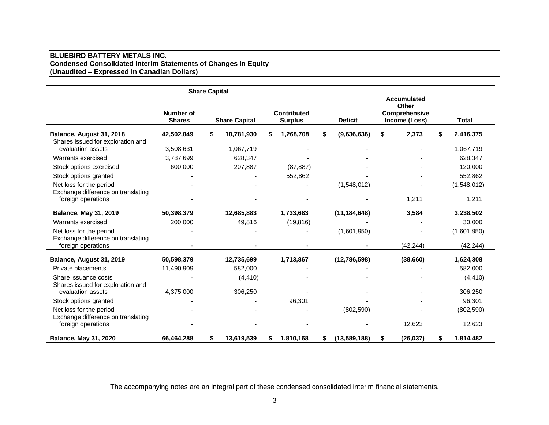## **BLUEBIRD BATTERY METALS INC. Condensed Consolidated Interim Statements of Changes in Equity (Unaudited – Expressed in Canadian Dollars)**

|                                                          |                            | <b>Share Capital</b> |                      |    |                               |                    |                                                                      |    |              |
|----------------------------------------------------------|----------------------------|----------------------|----------------------|----|-------------------------------|--------------------|----------------------------------------------------------------------|----|--------------|
|                                                          | Number of<br><b>Shares</b> |                      | <b>Share Capital</b> |    | Contributed<br><b>Surplus</b> | <b>Deficit</b>     | <b>Accumulated</b><br>Other<br><b>Comprehensive</b><br>Income (Loss) |    | <b>Total</b> |
| Balance, August 31, 2018                                 | 42,502,049                 | S                    | 10,781,930           | S  | 1,268,708                     | \$<br>(9,636,636)  | \$<br>2,373                                                          | S  | 2,416,375    |
| Shares issued for exploration and                        |                            |                      |                      |    |                               |                    |                                                                      |    |              |
| evaluation assets                                        | 3,508,631                  |                      | 1,067,719            |    |                               |                    |                                                                      |    | 1,067,719    |
| Warrants exercised                                       | 3,787,699                  |                      | 628,347              |    |                               |                    |                                                                      |    | 628,347      |
| Stock options exercised                                  | 600,000                    |                      | 207,887              |    | (87, 887)                     |                    |                                                                      |    | 120,000      |
| Stock options granted                                    |                            |                      |                      |    | 552,862                       |                    |                                                                      |    | 552,862      |
| Net loss for the period                                  |                            |                      |                      |    |                               | (1,548,012)        |                                                                      |    | (1,548,012)  |
| Exchange difference on translating                       |                            |                      |                      |    |                               |                    |                                                                      |    |              |
| foreign operations                                       |                            |                      |                      |    |                               |                    | 1,211                                                                |    | 1,211        |
| <b>Balance, May 31, 2019</b>                             | 50,398,379                 |                      | 12,685,883           |    | 1,733,683                     | (11, 184, 648)     | 3,584                                                                |    | 3,238,502    |
| Warrants exercised                                       | 200,000                    |                      | 49,816               |    | (19, 816)                     |                    |                                                                      |    | 30,000       |
| Net loss for the period                                  |                            |                      |                      |    |                               | (1,601,950)        |                                                                      |    | (1,601,950)  |
| Exchange difference on translating                       |                            |                      |                      |    |                               |                    |                                                                      |    |              |
| foreign operations                                       |                            |                      |                      |    |                               |                    | (42.244)                                                             |    | (42, 244)    |
| Balance, August 31, 2019                                 | 50,598,379                 |                      | 12,735,699           |    | 1,713,867                     | (12,786,598)       | (38, 660)                                                            |    | 1,624,308    |
| Private placements                                       | 11,490,909                 |                      | 582,000              |    |                               |                    |                                                                      |    | 582,000      |
| Share issuance costs                                     |                            |                      | (4, 410)             |    |                               |                    |                                                                      |    | (4, 410)     |
| Shares issued for exploration and                        |                            |                      |                      |    |                               |                    |                                                                      |    |              |
| evaluation assets                                        | 4,375,000                  |                      | 306,250              |    |                               |                    |                                                                      |    | 306,250      |
| Stock options granted                                    |                            |                      |                      |    | 96,301                        |                    |                                                                      |    | 96,301       |
| Net loss for the period                                  |                            |                      |                      |    |                               | (802, 590)         |                                                                      |    | (802, 590)   |
| Exchange difference on translating<br>foreign operations |                            |                      |                      |    |                               |                    | 12,623                                                               |    | 12,623       |
| <b>Balance, May 31, 2020</b>                             | 66,464,288                 | \$                   | 13,619,539           | \$ | 1,810,168                     | \$<br>(13,589,188) | \$<br>(26, 037)                                                      | \$ | 1,814,482    |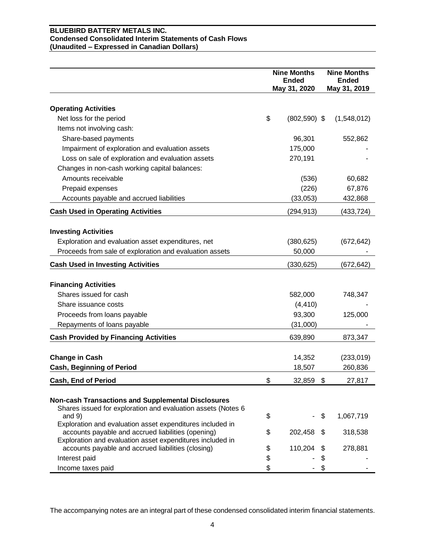## **BLUEBIRD BATTERY METALS INC. Condensed Consolidated Interim Statements of Cash Flows (Unaudited – Expressed in Canadian Dollars)**

|                                                                          | <b>Nine Months</b><br><b>Ended</b> |    | <b>Nine Months</b><br><b>Ended</b> |
|--------------------------------------------------------------------------|------------------------------------|----|------------------------------------|
|                                                                          | May 31, 2020                       |    | May 31, 2019                       |
| <b>Operating Activities</b>                                              |                                    |    |                                    |
| Net loss for the period                                                  | \$<br>$(802, 590)$ \$              |    | (1,548,012)                        |
| Items not involving cash:                                                |                                    |    |                                    |
| Share-based payments                                                     | 96,301                             |    | 552,862                            |
| Impairment of exploration and evaluation assets                          | 175,000                            |    |                                    |
| Loss on sale of exploration and evaluation assets                        | 270,191                            |    |                                    |
| Changes in non-cash working capital balances:                            |                                    |    |                                    |
| Amounts receivable                                                       | (536)                              |    | 60,682                             |
| Prepaid expenses                                                         | (226)                              |    | 67,876                             |
| Accounts payable and accrued liabilities                                 | (33,053)                           |    | 432,868                            |
|                                                                          |                                    |    |                                    |
| <b>Cash Used in Operating Activities</b>                                 | (294,913)                          |    | (433, 724)                         |
| <b>Investing Activities</b>                                              |                                    |    |                                    |
| Exploration and evaluation asset expenditures, net                       | (380, 625)                         |    | (672, 642)                         |
| Proceeds from sale of exploration and evaluation assets                  | 50,000                             |    |                                    |
|                                                                          |                                    |    | (672, 642)                         |
| <b>Cash Used in Investing Activities</b>                                 | (330,625)                          |    |                                    |
| <b>Financing Activities</b>                                              |                                    |    |                                    |
| Shares issued for cash                                                   | 582,000                            |    | 748,347                            |
| Share issuance costs                                                     | (4, 410)                           |    |                                    |
| Proceeds from loans payable                                              | 93,300                             |    | 125,000                            |
| Repayments of loans payable                                              | (31,000)                           |    |                                    |
| <b>Cash Provided by Financing Activities</b>                             | 639,890                            |    | 873,347                            |
|                                                                          |                                    |    |                                    |
| <b>Change in Cash</b>                                                    | 14,352                             |    | (233, 019)                         |
| <b>Cash, Beginning of Period</b>                                         | 18,507                             |    | 260,836                            |
| Cash, End of Period                                                      | \$<br>32,859                       | \$ | 27,817                             |
|                                                                          |                                    |    |                                    |
| <b>Non-cash Transactions and Supplemental Disclosures</b>                |                                    |    |                                    |
| Shares issued for exploration and evaluation assets (Notes 6<br>and $9)$ | \$                                 | \$ | 1,067,719                          |
| Exploration and evaluation asset expenditures included in                |                                    |    |                                    |
| accounts payable and accrued liabilities (opening)                       | \$<br>202,458                      | Ъ  | 318,538                            |
| Exploration and evaluation asset expenditures included in                |                                    |    |                                    |
| accounts payable and accrued liabilities (closing)                       | \$<br>110,204                      |    | 278,881                            |
| Interest paid                                                            | \$                                 | \$ |                                    |
| Income taxes paid                                                        | \$                                 | \$ |                                    |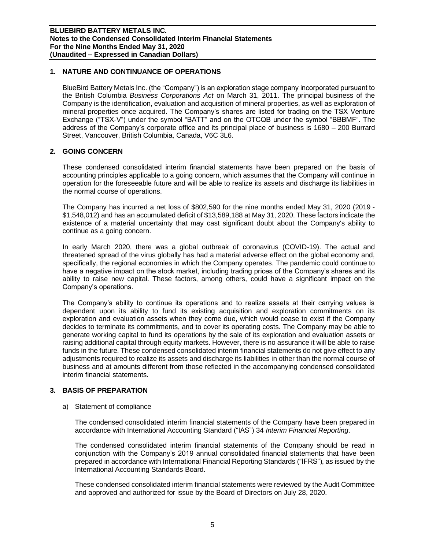## **1. NATURE AND CONTINUANCE OF OPERATIONS**

BlueBird Battery Metals Inc. (the "Company") is an exploration stage company incorporated pursuant to the British Columbia *Business Corporations Act* on March 31, 2011. The principal business of the Company is the identification, evaluation and acquisition of mineral properties, as well as exploration of mineral properties once acquired. The Company's shares are listed for trading on the TSX Venture Exchange ("TSX-V") under the symbol "BATT" and on the OTCQB under the symbol "BBBMF". The address of the Company's corporate office and its principal place of business is 1680 – 200 Burrard Street, Vancouver, British Columbia, Canada, V6C 3L6.

## **2. GOING CONCERN**

These condensed consolidated interim financial statements have been prepared on the basis of accounting principles applicable to a going concern, which assumes that the Company will continue in operation for the foreseeable future and will be able to realize its assets and discharge its liabilities in the normal course of operations.

The Company has incurred a net loss of \$802,590 for the nine months ended May 31, 2020 (2019 - \$1,548,012) and has an accumulated deficit of \$13,589,188 at May 31, 2020. These factors indicate the existence of a material uncertainty that may cast significant doubt about the Company's ability to continue as a going concern.

In early March 2020, there was a global outbreak of coronavirus (COVID-19). The actual and threatened spread of the virus globally has had a material adverse effect on the global economy and, specifically, the regional economies in which the Company operates. The pandemic could continue to have a negative impact on the stock market, including trading prices of the Company's shares and its ability to raise new capital. These factors, among others, could have a significant impact on the Company's operations.

The Company's ability to continue its operations and to realize assets at their carrying values is dependent upon its ability to fund its existing acquisition and exploration commitments on its exploration and evaluation assets when they come due, which would cease to exist if the Company decides to terminate its commitments, and to cover its operating costs. The Company may be able to generate working capital to fund its operations by the sale of its exploration and evaluation assets or raising additional capital through equity markets. However, there is no assurance it will be able to raise funds in the future. These condensed consolidated interim financial statements do not give effect to any adjustments required to realize its assets and discharge its liabilities in other than the normal course of business and at amounts different from those reflected in the accompanying condensed consolidated interim financial statements.

## **3. BASIS OF PREPARATION**

a) Statement of compliance

The condensed consolidated interim financial statements of the Company have been prepared in accordance with International Accounting Standard ("IAS") 34 *Interim Financial Reporting*.

The condensed consolidated interim financial statements of the Company should be read in conjunction with the Company's 2019 annual consolidated financial statements that have been prepared in accordance with International Financial Reporting Standards ("IFRS"), as issued by the International Accounting Standards Board.

These condensed consolidated interim financial statements were reviewed by the Audit Committee and approved and authorized for issue by the Board of Directors on July 28, 2020.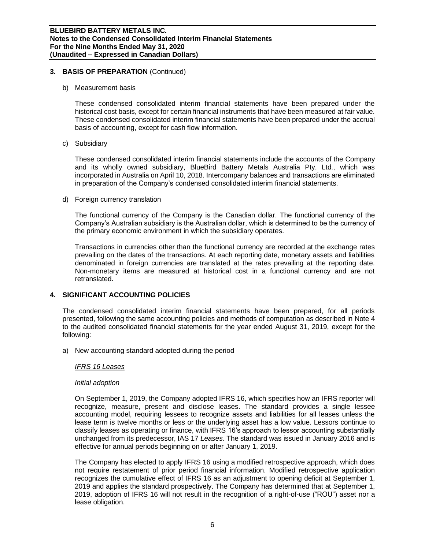## **3. BASIS OF PREPARATION** (Continued)

b) Measurement basis

These condensed consolidated interim financial statements have been prepared under the historical cost basis, except for certain financial instruments that have been measured at fair value. These condensed consolidated interim financial statements have been prepared under the accrual basis of accounting, except for cash flow information.

c) Subsidiary

These condensed consolidated interim financial statements include the accounts of the Company and its wholly owned subsidiary, BlueBird Battery Metals Australia Pty. Ltd., which was incorporated in Australia on April 10, 2018. Intercompany balances and transactions are eliminated in preparation of the Company's condensed consolidated interim financial statements.

d) Foreign currency translation

The functional currency of the Company is the Canadian dollar. The functional currency of the Company's Australian subsidiary is the Australian dollar, which is determined to be the currency of the primary economic environment in which the subsidiary operates.

Transactions in currencies other than the functional currency are recorded at the exchange rates prevailing on the dates of the transactions. At each reporting date, monetary assets and liabilities denominated in foreign currencies are translated at the rates prevailing at the reporting date. Non-monetary items are measured at historical cost in a functional currency and are not retranslated.

## **4. SIGNIFICANT ACCOUNTING POLICIES**

The condensed consolidated interim financial statements have been prepared, for all periods presented, following the same accounting policies and methods of computation as described in Note 4 to the audited consolidated financial statements for the year ended August 31, 2019, except for the following:

a) New accounting standard adopted during the period

## *IFRS 16 Leases*

#### *Initial adoption*

On September 1, 2019, the Company adopted IFRS 16, which specifies how an IFRS reporter will recognize, measure, present and disclose leases. The standard provides a single lessee accounting model, requiring lessees to recognize assets and liabilities for all leases unless the lease term is twelve months or less or the underlying asset has a low value. Lessors continue to classify leases as operating or finance, with IFRS 16's approach to lessor accounting substantially unchanged from its predecessor, IAS 17 *Leases*. The standard was issued in January 2016 and is effective for annual periods beginning on or after January 1, 2019.

The Company has elected to apply IFRS 16 using a modified retrospective approach, which does not require restatement of prior period financial information. Modified retrospective application recognizes the cumulative effect of IFRS 16 as an adjustment to opening deficit at September 1, 2019 and applies the standard prospectively. The Company has determined that at September 1, 2019, adoption of IFRS 16 will not result in the recognition of a right-of-use ("ROU") asset nor a lease obligation.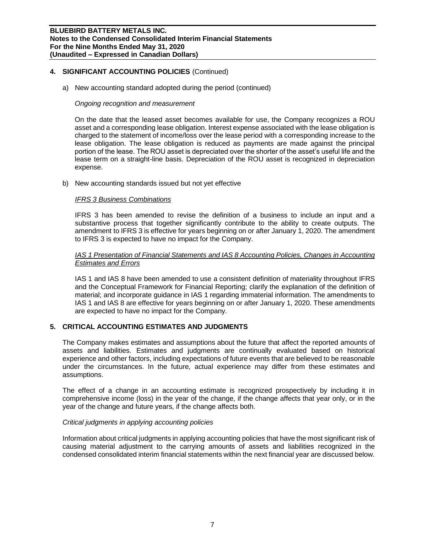## **4. SIGNIFICANT ACCOUNTING POLICIES** (Continued)

a) New accounting standard adopted during the period (continued)

## *Ongoing recognition and measurement*

On the date that the leased asset becomes available for use, the Company recognizes a ROU asset and a corresponding lease obligation. Interest expense associated with the lease obligation is charged to the statement of income/loss over the lease period with a corresponding increase to the lease obligation. The lease obligation is reduced as payments are made against the principal portion of the lease. The ROU asset is depreciated over the shorter of the asset's useful life and the lease term on a straight-line basis. Depreciation of the ROU asset is recognized in depreciation expense.

b) New accounting standards issued but not yet effective

#### *IFRS 3 Business Combinations*

IFRS 3 has been amended to revise the definition of a business to include an input and a substantive process that together significantly contribute to the ability to create outputs. The amendment to IFRS 3 is effective for years beginning on or after January 1, 2020. The amendment to IFRS 3 is expected to have no impact for the Company.

## *IAS 1 Presentation of Financial Statements and IAS 8 Accounting Policies, Changes in Accounting Estimates and Errors*

IAS 1 and IAS 8 have been amended to use a consistent definition of materiality throughout IFRS and the Conceptual Framework for Financial Reporting; clarify the explanation of the definition of material; and incorporate guidance in IAS 1 regarding immaterial information. The amendments to IAS 1 and IAS 8 are effective for years beginning on or after January 1, 2020. These amendments are expected to have no impact for the Company.

## **5. CRITICAL ACCOUNTING ESTIMATES AND JUDGMENTS**

The Company makes estimates and assumptions about the future that affect the reported amounts of assets and liabilities. Estimates and judgments are continually evaluated based on historical experience and other factors, including expectations of future events that are believed to be reasonable under the circumstances. In the future, actual experience may differ from these estimates and assumptions.

The effect of a change in an accounting estimate is recognized prospectively by including it in comprehensive income (loss) in the year of the change, if the change affects that year only, or in the year of the change and future years, if the change affects both.

## *Critical judgments in applying accounting policies*

Information about critical judgments in applying accounting policies that have the most significant risk of causing material adjustment to the carrying amounts of assets and liabilities recognized in the condensed consolidated interim financial statements within the next financial year are discussed below.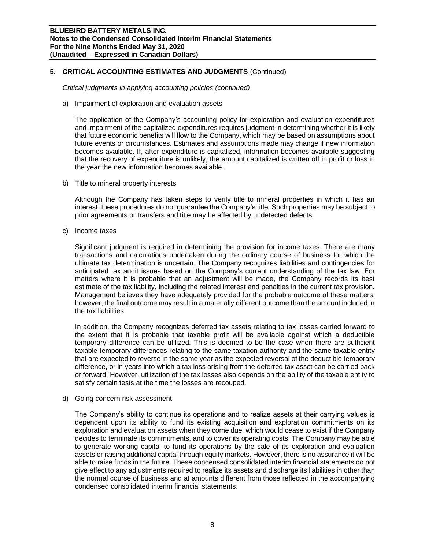## **5. CRITICAL ACCOUNTING ESTIMATES AND JUDGMENTS** (Continued)

*Critical judgments in applying accounting policies (continued)*

a) Impairment of exploration and evaluation assets

The application of the Company's accounting policy for exploration and evaluation expenditures and impairment of the capitalized expenditures requires judgment in determining whether it is likely that future economic benefits will flow to the Company, which may be based on assumptions about future events or circumstances. Estimates and assumptions made may change if new information becomes available. If, after expenditure is capitalized, information becomes available suggesting that the recovery of expenditure is unlikely, the amount capitalized is written off in profit or loss in the year the new information becomes available.

b) Title to mineral property interests

Although the Company has taken steps to verify title to mineral properties in which it has an interest, these procedures do not guarantee the Company's title. Such properties may be subject to prior agreements or transfers and title may be affected by undetected defects.

c) Income taxes

Significant judgment is required in determining the provision for income taxes. There are many transactions and calculations undertaken during the ordinary course of business for which the ultimate tax determination is uncertain. The Company recognizes liabilities and contingencies for anticipated tax audit issues based on the Company's current understanding of the tax law. For matters where it is probable that an adjustment will be made, the Company records its best estimate of the tax liability, including the related interest and penalties in the current tax provision. Management believes they have adequately provided for the probable outcome of these matters; however, the final outcome may result in a materially different outcome than the amount included in the tax liabilities.

In addition, the Company recognizes deferred tax assets relating to tax losses carried forward to the extent that it is probable that taxable profit will be available against which a deductible temporary difference can be utilized. This is deemed to be the case when there are sufficient taxable temporary differences relating to the same taxation authority and the same taxable entity that are expected to reverse in the same year as the expected reversal of the deductible temporary difference, or in years into which a tax loss arising from the deferred tax asset can be carried back or forward. However, utilization of the tax losses also depends on the ability of the taxable entity to satisfy certain tests at the time the losses are recouped.

d) Going concern risk assessment

The Company's ability to continue its operations and to realize assets at their carrying values is dependent upon its ability to fund its existing acquisition and exploration commitments on its exploration and evaluation assets when they come due, which would cease to exist if the Company decides to terminate its commitments, and to cover its operating costs. The Company may be able to generate working capital to fund its operations by the sale of its exploration and evaluation assets or raising additional capital through equity markets. However, there is no assurance it will be able to raise funds in the future. These condensed consolidated interim financial statements do not give effect to any adjustments required to realize its assets and discharge its liabilities in other than the normal course of business and at amounts different from those reflected in the accompanying condensed consolidated interim financial statements.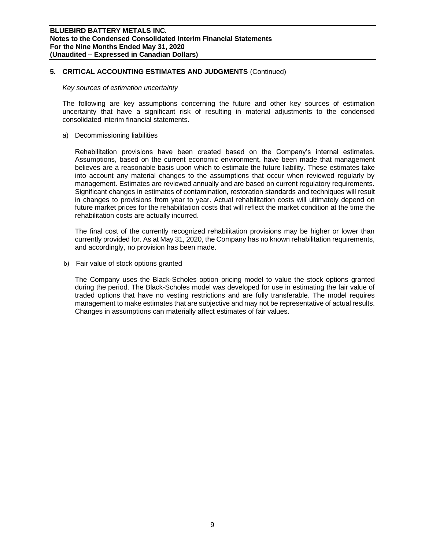## **5. CRITICAL ACCOUNTING ESTIMATES AND JUDGMENTS** (Continued)

#### *Key sources of estimation uncertainty*

The following are key assumptions concerning the future and other key sources of estimation uncertainty that have a significant risk of resulting in material adjustments to the condensed consolidated interim financial statements.

a) Decommissioning liabilities

Rehabilitation provisions have been created based on the Company's internal estimates. Assumptions, based on the current economic environment, have been made that management believes are a reasonable basis upon which to estimate the future liability. These estimates take into account any material changes to the assumptions that occur when reviewed regularly by management. Estimates are reviewed annually and are based on current regulatory requirements. Significant changes in estimates of contamination, restoration standards and techniques will result in changes to provisions from year to year. Actual rehabilitation costs will ultimately depend on future market prices for the rehabilitation costs that will reflect the market condition at the time the rehabilitation costs are actually incurred.

The final cost of the currently recognized rehabilitation provisions may be higher or lower than currently provided for. As at May 31, 2020, the Company has no known rehabilitation requirements, and accordingly, no provision has been made.

b) Fair value of stock options granted

The Company uses the Black-Scholes option pricing model to value the stock options granted during the period. The Black-Scholes model was developed for use in estimating the fair value of traded options that have no vesting restrictions and are fully transferable. The model requires management to make estimates that are subjective and may not be representative of actual results. Changes in assumptions can materially affect estimates of fair values.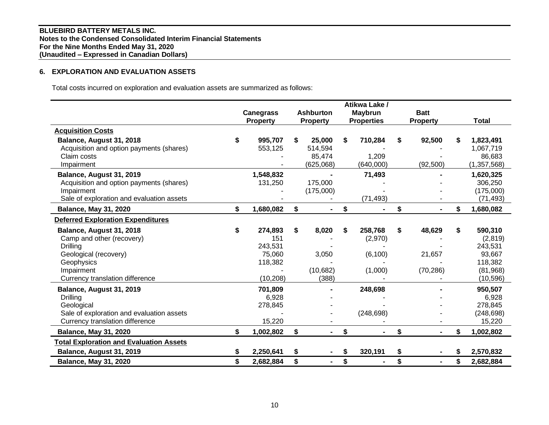## **6. EXPLORATION AND EVALUATION ASSETS**

Total costs incurred on exploration and evaluation assets are summarized as follows:

|                                                                                                                                                           |                                                                   |                                                | Atikwa Lake /                                   |                                     |                                                                                   |
|-----------------------------------------------------------------------------------------------------------------------------------------------------------|-------------------------------------------------------------------|------------------------------------------------|-------------------------------------------------|-------------------------------------|-----------------------------------------------------------------------------------|
|                                                                                                                                                           | <b>Canegrass</b><br><b>Property</b>                               | <b>Ashburton</b><br><b>Property</b>            | <b>Maybrun</b><br><b>Properties</b>             | <b>Batt</b><br><b>Property</b>      | Total                                                                             |
| <b>Acquisition Costs</b>                                                                                                                                  |                                                                   |                                                |                                                 |                                     |                                                                                   |
| Balance, August 31, 2018<br>Acquisition and option payments (shares)<br>Claim costs<br>Impairment                                                         | \$<br>995,707<br>553,125                                          | \$<br>25,000<br>514,594<br>85,474<br>(625,068) | \$<br>710,284<br>1,209<br>(640,000)             | \$<br>92,500<br>(92, 500)           | \$<br>1,823,491<br>1,067,719<br>86,683<br>(1, 357, 568)                           |
| Balance, August 31, 2019<br>Acquisition and option payments (shares)<br>Impairment<br>Sale of exploration and evaluation assets                           | 1,548,832<br>131,250                                              | 175,000<br>(175,000)                           | 71,493<br>(71, 493)                             |                                     | 1,620,325<br>306,250<br>(175,000)<br>(71, 493)                                    |
| <b>Balance, May 31, 2020</b>                                                                                                                              | \$<br>1,680,082                                                   | \$<br>$\blacksquare$                           | \$                                              | \$                                  | \$<br>1,680,082                                                                   |
| <b>Deferred Exploration Expenditures</b>                                                                                                                  |                                                                   |                                                |                                                 |                                     |                                                                                   |
| Balance, August 31, 2018<br>Camp and other (recovery)<br>Drilling<br>Geological (recovery)<br>Geophysics<br>Impairment<br>Currency translation difference | \$<br>274,893<br>151<br>243,531<br>75,060<br>118,382<br>(10, 208) | \$<br>8,020<br>3,050<br>(10,682)<br>(388)      | \$<br>258,768<br>(2,970)<br>(6, 100)<br>(1,000) | \$<br>48,629<br>21,657<br>(70, 286) | \$<br>590,310<br>(2,819)<br>243,531<br>93,667<br>118,382<br>(81,968)<br>(10, 596) |
| Balance, August 31, 2019<br><b>Drilling</b><br>Geological<br>Sale of exploration and evaluation assets<br>Currency translation difference                 | 701,809<br>6,928<br>278,845<br>15,220                             |                                                | 248,698<br>(248, 698)                           |                                     | 950,507<br>6,928<br>278,845<br>(248, 698)<br>15,220                               |
| <b>Balance, May 31, 2020</b>                                                                                                                              | \$<br>1,002,802                                                   | \$<br>$\blacksquare$                           | \$<br>$\blacksquare$                            | \$<br>۰.                            | \$<br>1,002,802                                                                   |
| <b>Total Exploration and Evaluation Assets</b>                                                                                                            |                                                                   |                                                |                                                 |                                     |                                                                                   |
| Balance, August 31, 2019                                                                                                                                  | \$<br>2,250,641                                                   | \$                                             | \$<br>320,191                                   | \$                                  | 2,570,832                                                                         |
| <b>Balance, May 31, 2020</b>                                                                                                                              | \$<br>2,682,884                                                   | \$<br>$\blacksquare$                           | \$                                              | \$<br>$\blacksquare$                | \$<br>2,682,884                                                                   |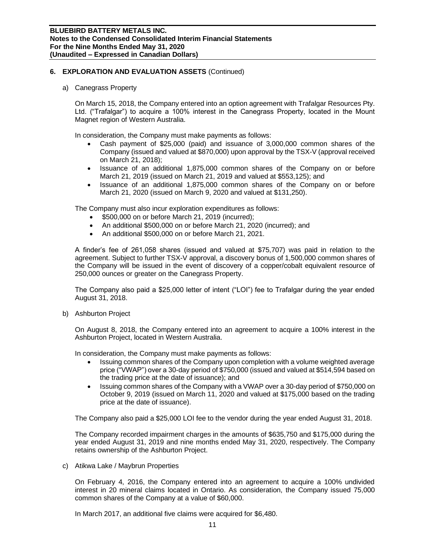## **6. EXPLORATION AND EVALUATION ASSETS** (Continued)

a) Canegrass Property

On March 15, 2018, the Company entered into an option agreement with Trafalgar Resources Pty. Ltd. ("Trafalgar") to acquire a 100% interest in the Canegrass Property, located in the Mount Magnet region of Western Australia.

In consideration, the Company must make payments as follows:

- Cash payment of \$25,000 (paid) and issuance of 3,000,000 common shares of the Company (issued and valued at \$870,000) upon approval by the TSX-V (approval received on March 21, 2018);
- Issuance of an additional 1,875,000 common shares of the Company on or before March 21, 2019 (issued on March 21, 2019 and valued at \$553,125); and
- Issuance of an additional 1,875,000 common shares of the Company on or before March 21, 2020 (issued on March 9, 2020 and valued at \$131,250).

The Company must also incur exploration expenditures as follows:

- \$500,000 on or before March 21, 2019 (incurred);
- An additional \$500,000 on or before March 21, 2020 (incurred); and
- An additional \$500,000 on or before March 21, 2021.

A finder's fee of 261,058 shares (issued and valued at \$75,707) was paid in relation to the agreement. Subject to further TSX-V approval, a discovery bonus of 1,500,000 common shares of the Company will be issued in the event of discovery of a copper/cobalt equivalent resource of 250,000 ounces or greater on the Canegrass Property.

The Company also paid a \$25,000 letter of intent ("LOI") fee to Trafalgar during the year ended August 31, 2018.

b) Ashburton Project

On August 8, 2018, the Company entered into an agreement to acquire a 100% interest in the Ashburton Project, located in Western Australia.

In consideration, the Company must make payments as follows:

- Issuing common shares of the Company upon completion with a volume weighted average price ("VWAP") over a 30-day period of \$750,000 (issued and valued at \$514,594 based on the trading price at the date of issuance); and
- Issuing common shares of the Company with a VWAP over a 30-day period of \$750,000 on October 9, 2019 (issued on March 11, 2020 and valued at \$175,000 based on the trading price at the date of issuance).

The Company also paid a \$25,000 LOI fee to the vendor during the year ended August 31, 2018.

The Company recorded impairment charges in the amounts of \$635,750 and \$175,000 during the year ended August 31, 2019 and nine months ended May 31, 2020, respectively. The Company retains ownership of the Ashburton Project.

c) Atikwa Lake / Maybrun Properties

On February 4, 2016, the Company entered into an agreement to acquire a 100% undivided interest in 20 mineral claims located in Ontario. As consideration, the Company issued 75,000 common shares of the Company at a value of \$60,000.

In March 2017, an additional five claims were acquired for \$6,480.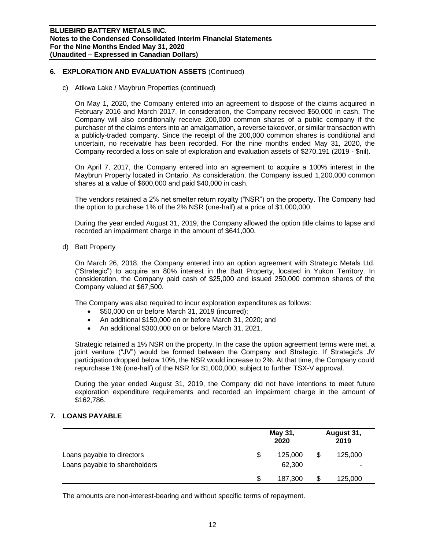## **6. EXPLORATION AND EVALUATION ASSETS** (Continued)

c) Atikwa Lake / Maybrun Properties (continued)

On May 1, 2020, the Company entered into an agreement to dispose of the claims acquired in February 2016 and March 2017. In consideration, the Company received \$50,000 in cash. The Company will also conditionally receive 200,000 common shares of a public company if the purchaser of the claims enters into an amalgamation, a reverse takeover, or similar transaction with a publicly-traded company. Since the receipt of the 200,000 common shares is conditional and uncertain, no receivable has been recorded. For the nine months ended May 31, 2020, the Company recorded a loss on sale of exploration and evaluation assets of \$270,191 (2019 - \$nil).

On April 7, 2017, the Company entered into an agreement to acquire a 100% interest in the Maybrun Property located in Ontario. As consideration, the Company issued 1,200,000 common shares at a value of \$600,000 and paid \$40,000 in cash.

The vendors retained a 2% net smelter return royalty ("NSR") on the property. The Company had the option to purchase 1% of the 2% NSR (one-half) at a price of \$1,000,000.

During the year ended August 31, 2019, the Company allowed the option title claims to lapse and recorded an impairment charge in the amount of \$641,000.

d) Batt Property

On March 26, 2018, the Company entered into an option agreement with Strategic Metals Ltd. ("Strategic") to acquire an 80% interest in the Batt Property, located in Yukon Territory. In consideration, the Company paid cash of \$25,000 and issued 250,000 common shares of the Company valued at \$67,500.

The Company was also required to incur exploration expenditures as follows:

- \$50,000 on or before March 31, 2019 (incurred);
- An additional \$150,000 on or before March 31, 2020; and
- An additional \$300,000 on or before March 31, 2021.

Strategic retained a 1% NSR on the property. In the case the option agreement terms were met, a joint venture ("JV") would be formed between the Company and Strategic. If Strategic's JV participation dropped below 10%, the NSR would increase to 2%. At that time, the Company could repurchase 1% (one-half) of the NSR for \$1,000,000, subject to further TSX-V approval.

During the year ended August 31, 2019, the Company did not have intentions to meet future exploration expenditure requirements and recorded an impairment charge in the amount of \$162,786.

## **7. LOANS PAYABLE**

|                               |   | May 31,<br>2020 | August 31,<br>2019 |         |  |
|-------------------------------|---|-----------------|--------------------|---------|--|
| Loans payable to directors    | S | 125,000         |                    | 125,000 |  |
| Loans payable to shareholders |   | 62,300          |                    | -       |  |
|                               | S | 187,300         | ъD                 | 125,000 |  |

The amounts are non-interest-bearing and without specific terms of repayment.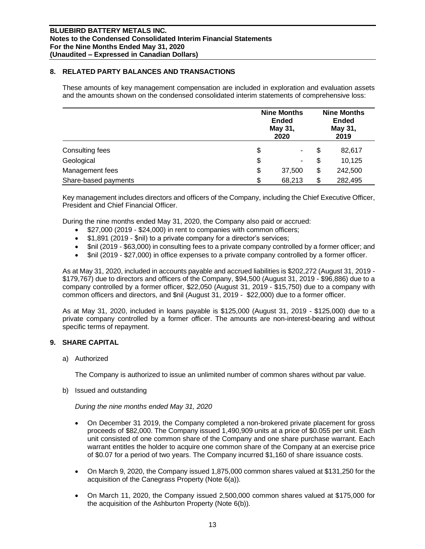## **8. RELATED PARTY BALANCES AND TRANSACTIONS**

These amounts of key management compensation are included in exploration and evaluation assets and the amounts shown on the condensed consolidated interim statements of comprehensive loss:

|                      | <b>Nine Months</b><br><b>Ended</b><br>May 31,<br>2020 |    |         |
|----------------------|-------------------------------------------------------|----|---------|
| Consulting fees      | \$<br>۰                                               | \$ | 82,617  |
| Geological           | \$<br>۰                                               | S  | 10,125  |
| Management fees      | \$<br>37,500                                          | \$ | 242,500 |
| Share-based payments | \$<br>68,213                                          | S  | 282,495 |

Key management includes directors and officers of the Company, including the Chief Executive Officer, President and Chief Financial Officer.

During the nine months ended May 31, 2020, the Company also paid or accrued:

- \$27,000 (2019 \$24,000) in rent to companies with common officers;
- \$1,891 (2019 \$nil) to a private company for a director's services;
- \$nil (2019 \$63,000) in consulting fees to a private company controlled by a former officer; and
- \$nil (2019 \$27,000) in office expenses to a private company controlled by a former officer.

As at May 31, 2020, included in accounts payable and accrued liabilities is \$202,272 (August 31, 2019 - \$179,767) due to directors and officers of the Company, \$94,500 (August 31, 2019 - \$96,886) due to a company controlled by a former officer, \$22,050 (August 31, 2019 - \$15,750) due to a company with common officers and directors, and \$nil (August 31, 2019 - \$22,000) due to a former officer.

As at May 31, 2020, included in loans payable is \$125,000 (August 31, 2019 - \$125,000) due to a private company controlled by a former officer. The amounts are non-interest-bearing and without specific terms of repayment.

## **9. SHARE CAPITAL**

a) Authorized

The Company is authorized to issue an unlimited number of common shares without par value.

b) Issued and outstanding

*During the nine months ended May 31, 2020*

- On December 31 2019, the Company completed a non-brokered private placement for gross proceeds of \$82,000. The Company issued 1,490,909 units at a price of \$0.055 per unit. Each unit consisted of one common share of the Company and one share purchase warrant. Each warrant entitles the holder to acquire one common share of the Company at an exercise price of \$0.07 for a period of two years. The Company incurred \$1,160 of share issuance costs.
- On March 9, 2020, the Company issued 1,875,000 common shares valued at \$131,250 for the acquisition of the Canegrass Property (Note 6(a)).
- On March 11, 2020, the Company issued 2,500,000 common shares valued at \$175,000 for the acquisition of the Ashburton Property (Note 6(b)).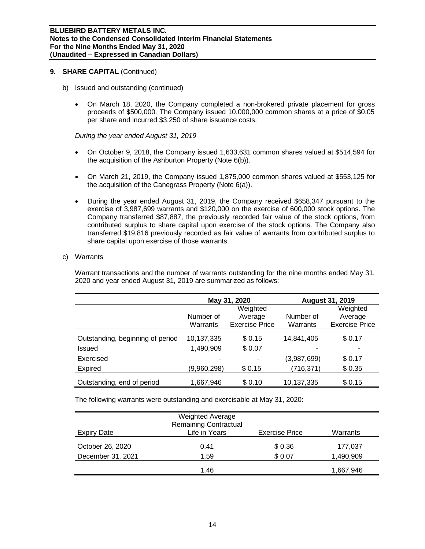## **9. SHARE CAPITAL** (Continued)

- b) Issued and outstanding (continued)
	- On March 18, 2020, the Company completed a non-brokered private placement for gross proceeds of \$500,000. The Company issued 10,000,000 common shares at a price of \$0.05 per share and incurred \$3,250 of share issuance costs.

#### *During the year ended August 31, 2019*

- On October 9, 2018, the Company issued 1,633,631 common shares valued at \$514,594 for the acquisition of the Ashburton Property (Note 6(b)).
- On March 21, 2019, the Company issued 1,875,000 common shares valued at \$553,125 for the acquisition of the Canegrass Property (Note 6(a)).
- During the year ended August 31, 2019, the Company received \$658,347 pursuant to the exercise of 3,987,699 warrants and \$120,000 on the exercise of 600,000 stock options. The Company transferred \$87,887, the previously recorded fair value of the stock options, from contributed surplus to share capital upon exercise of the stock options. The Company also transferred \$19,816 previously recorded as fair value of warrants from contributed surplus to share capital upon exercise of those warrants.

#### c) Warrants

Warrant transactions and the number of warrants outstanding for the nine months ended May 31, 2020 and year ended August 31, 2019 are summarized as follows:

|                                  |             | May 31, 2020          | <b>August 31, 2019</b> |                       |  |  |
|----------------------------------|-------------|-----------------------|------------------------|-----------------------|--|--|
|                                  |             | Weighted              |                        | Weighted              |  |  |
|                                  | Number of   | Average               | Number of              | Average               |  |  |
|                                  | Warrants    | <b>Exercise Price</b> | Warrants               | <b>Exercise Price</b> |  |  |
| Outstanding, beginning of period | 10,137,335  | \$0.15                | 14.841.405             | \$0.17                |  |  |
| Issued                           | 1,490,909   | \$0.07                | -                      |                       |  |  |
| Exercised                        |             |                       | (3,987,699)            | \$0.17                |  |  |
| Expired                          | (9,960,298) | \$0.15                | (716, 371)             | \$0.35                |  |  |
| Outstanding, end of period       | 1,667,946   | \$0.10                | 10,137,335             | \$0.15                |  |  |

The following warrants were outstanding and exercisable at May 31, 2020:

| <b>Expiry Date</b> | <b>Weighted Average</b><br><b>Remaining Contractual</b><br>Life in Years | <b>Exercise Price</b> | Warrants  |
|--------------------|--------------------------------------------------------------------------|-----------------------|-----------|
| October 26, 2020   | 0.41                                                                     | \$0.36                | 177,037   |
| December 31, 2021  | 1.59                                                                     | \$0.07                | 1,490,909 |
|                    | 1.46                                                                     |                       | 1,667,946 |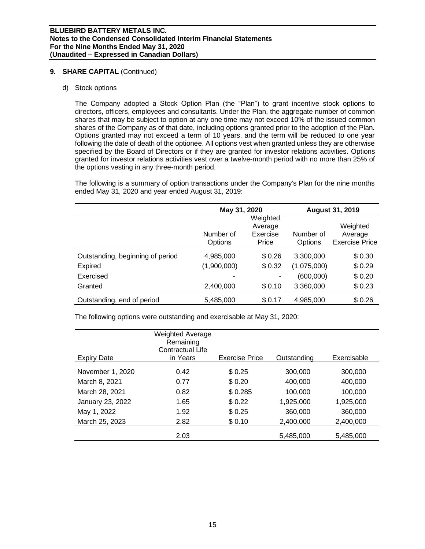## **9. SHARE CAPITAL** (Continued)

d) Stock options

The Company adopted a Stock Option Plan (the "Plan") to grant incentive stock options to directors, officers, employees and consultants. Under the Plan, the aggregate number of common shares that may be subject to option at any one time may not exceed 10% of the issued common shares of the Company as of that date, including options granted prior to the adoption of the Plan. Options granted may not exceed a term of 10 years, and the term will be reduced to one year following the date of death of the optionee. All options vest when granted unless they are otherwise specified by the Board of Directors or if they are granted for investor relations activities. Options granted for investor relations activities vest over a twelve-month period with no more than 25% of the options vesting in any three-month period.

The following is a summary of option transactions under the Company's Plan for the nine months ended May 31, 2020 and year ended August 31, 2019:

|                                  | May 31, 2020             |                   | <b>August 31, 2019</b> |                                  |  |  |
|----------------------------------|--------------------------|-------------------|------------------------|----------------------------------|--|--|
|                                  |                          | Weighted          |                        |                                  |  |  |
|                                  |                          | Average           |                        | Weighted                         |  |  |
|                                  | Number of<br>Options     | Exercise<br>Price | Number of<br>Options   | Average<br><b>Exercise Price</b> |  |  |
| Outstanding, beginning of period | 4,985,000                | \$0.26            | 3,300,000              | \$0.30                           |  |  |
| <b>Expired</b>                   | (1,900,000)              | \$0.32            | (1,075,000)            | \$0.29                           |  |  |
| Exercised                        | $\overline{\phantom{0}}$ | ۰                 | (600,000)              | \$0.20                           |  |  |
| Granted                          | 2,400,000                | \$0.10            | 3,360,000              | \$0.23                           |  |  |
| Outstanding, end of period       | 5,485,000                | \$0.17            | 4,985,000              | \$0.26                           |  |  |

The following options were outstanding and exercisable at May 31, 2020:

|                    | Weighted Average<br>Remaining<br>Contractual Life |                |             |             |
|--------------------|---------------------------------------------------|----------------|-------------|-------------|
| <b>Expiry Date</b> | in Years                                          | Exercise Price | Outstanding | Exercisable |
| November 1, 2020   | 0.42                                              | \$0.25         | 300,000     | 300,000     |
| March 8, 2021      | 0.77                                              | \$0.20         | 400,000     | 400,000     |
| March 28, 2021     | 0.82                                              | \$0.285        | 100,000     | 100,000     |
| January 23, 2022   | 1.65                                              | \$0.22         | 1,925,000   | 1,925,000   |
| May 1, 2022        | 1.92                                              | \$0.25         | 360,000     | 360,000     |
| March 25, 2023     | 2.82                                              | \$0.10         | 2,400,000   | 2,400,000   |
|                    | 2.03                                              |                | 5,485,000   | 5,485,000   |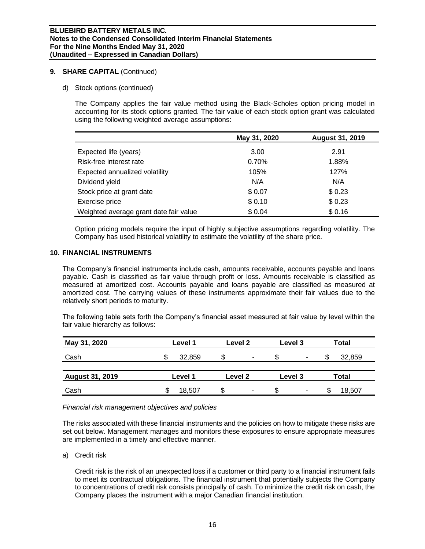## **9. SHARE CAPITAL** (Continued)

d) Stock options (continued)

The Company applies the fair value method using the Black-Scholes option pricing model in accounting for its stock options granted. The fair value of each stock option grant was calculated using the following weighted average assumptions:

|                                        | May 31, 2020 | <b>August 31, 2019</b> |
|----------------------------------------|--------------|------------------------|
| Expected life (years)                  | 3.00         | 2.91                   |
| Risk-free interest rate                | 0.70%        | 1.88%                  |
| Expected annualized volatility         | 105%         | 127%                   |
| Dividend yield                         | N/A          | N/A                    |
| Stock price at grant date              | \$0.07       | \$0.23                 |
| Exercise price                         | \$0.10       | \$0.23                 |
| Weighted average grant date fair value | \$0.04       | \$0.16                 |

Option pricing models require the input of highly subjective assumptions regarding volatility. The Company has used historical volatility to estimate the volatility of the share price.

## **10. FINANCIAL INSTRUMENTS**

The Company's financial instruments include cash, amounts receivable, accounts payable and loans payable. Cash is classified as fair value through profit or loss. Amounts receivable is classified as measured at amortized cost. Accounts payable and loans payable are classified as measured at amortized cost. The carrying values of these instruments approximate their fair values due to the relatively short periods to maturity.

The following table sets forth the Company's financial asset measured at fair value by level within the fair value hierarchy as follows:

| May 31, 2020           | Level 1      | Level 2                        | Level 3  | Total  |  |
|------------------------|--------------|--------------------------------|----------|--------|--|
| Cash                   | 32,859<br>۰D | \$<br>$\overline{\phantom{a}}$ | \$<br>۰  | 32,859 |  |
| <b>August 31, 2019</b> | Level 1      | Level 2                        | Level 3  | Total  |  |
| Cash                   | 18,507       | \$<br>$\overline{\phantom{a}}$ | \$.<br>٠ | 18,507 |  |

## *Financial risk management objectives and policies*

The risks associated with these financial instruments and the policies on how to mitigate these risks are set out below. Management manages and monitors these exposures to ensure appropriate measures are implemented in a timely and effective manner.

a) Credit risk

Credit risk is the risk of an unexpected loss if a customer or third party to a financial instrument fails to meet its contractual obligations. The financial instrument that potentially subjects the Company to concentrations of credit risk consists principally of cash. To minimize the credit risk on cash, the Company places the instrument with a major Canadian financial institution.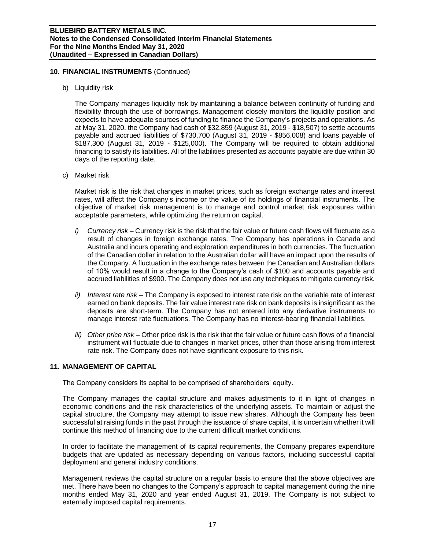## **10. FINANCIAL INSTRUMENTS** (Continued)

b) Liquidity risk

The Company manages liquidity risk by maintaining a balance between continuity of funding and flexibility through the use of borrowings. Management closely monitors the liquidity position and expects to have adequate sources of funding to finance the Company's projects and operations. As at May 31, 2020, the Company had cash of \$32,859 (August 31, 2019 - \$18,507) to settle accounts payable and accrued liabilities of \$730,700 (August 31, 2019 - \$856,008) and loans payable of \$187,300 (August 31, 2019 - \$125,000). The Company will be required to obtain additional financing to satisfy its liabilities. All of the liabilities presented as accounts payable are due within 30 days of the reporting date.

c) Market risk

Market risk is the risk that changes in market prices, such as foreign exchange rates and interest rates, will affect the Company's income or the value of its holdings of financial instruments. The objective of market risk management is to manage and control market risk exposures within acceptable parameters, while optimizing the return on capital.

- *i) Currency risk –* Currency risk is the risk that the fair value or future cash flows will fluctuate as a result of changes in foreign exchange rates. The Company has operations in Canada and Australia and incurs operating and exploration expenditures in both currencies. The fluctuation of the Canadian dollar in relation to the Australian dollar will have an impact upon the results of the Company. A fluctuation in the exchange rates between the Canadian and Australian dollars of 10% would result in a change to the Company's cash of \$100 and accounts payable and accrued liabilities of \$900. The Company does not use any techniques to mitigate currency risk.
- *ii) Interest rate risk –* The Company is exposed to interest rate risk on the variable rate of interest earned on bank deposits. The fair value interest rate risk on bank deposits is insignificant as the deposits are short-term. The Company has not entered into any derivative instruments to manage interest rate fluctuations. The Company has no interest-bearing financial liabilities.
- *iii) Other price risk –* Other price risk is the risk that the fair value or future cash flows of a financial instrument will fluctuate due to changes in market prices, other than those arising from interest rate risk. The Company does not have significant exposure to this risk.

## **11. MANAGEMENT OF CAPITAL**

The Company considers its capital to be comprised of shareholders' equity.

The Company manages the capital structure and makes adjustments to it in light of changes in economic conditions and the risk characteristics of the underlying assets. To maintain or adjust the capital structure, the Company may attempt to issue new shares. Although the Company has been successful at raising funds in the past through the issuance of share capital, it is uncertain whether it will continue this method of financing due to the current difficult market conditions.

In order to facilitate the management of its capital requirements, the Company prepares expenditure budgets that are updated as necessary depending on various factors, including successful capital deployment and general industry conditions.

Management reviews the capital structure on a regular basis to ensure that the above objectives are met. There have been no changes to the Company's approach to capital management during the nine months ended May 31, 2020 and year ended August 31, 2019. The Company is not subject to externally imposed capital requirements.